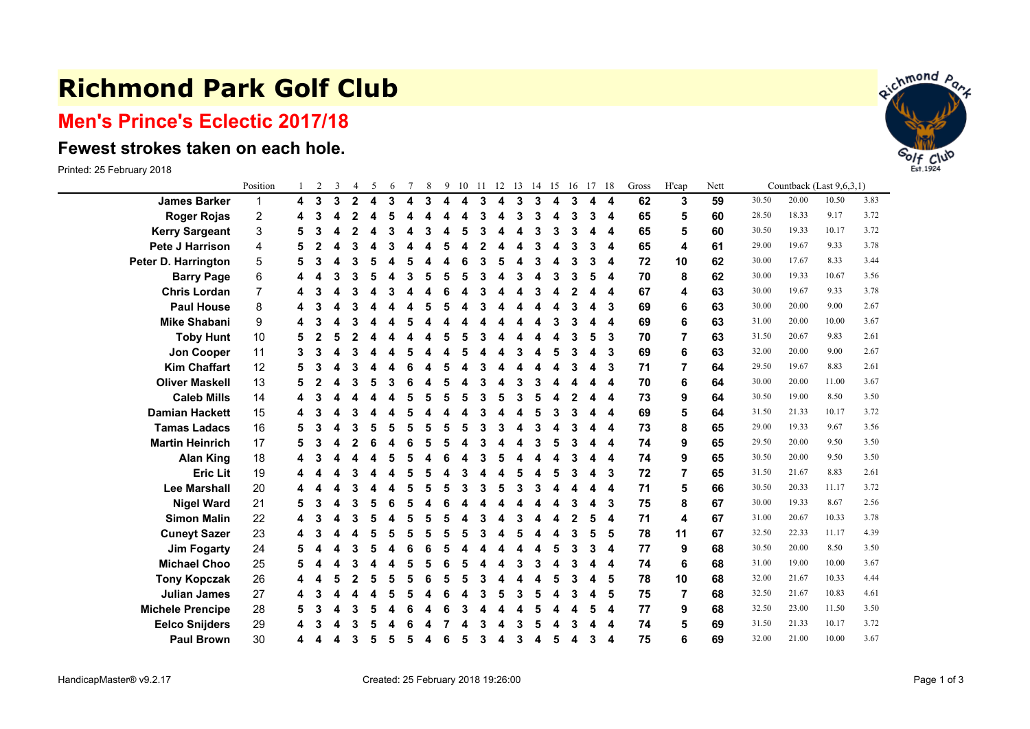## **Richmond Park Golf Club**

## **Men's Prince's Eclectic 2017/18**

## **Fewest strokes taken on each hole.**

Printed: 25 February 2018

|                         | Position |   | $\overline{2}$ | 3 | $\overline{4}$ | 5 | 6 |   | 8 | 9 | 10 | 11 | 12 | 13 | 14 15 |   | -16 | 17 | -18                     | Gross | H'cap          | Nett | Countback (Last 9,6,3,1) |       |       |      |  |
|-------------------------|----------|---|----------------|---|----------------|---|---|---|---|---|----|----|----|----|-------|---|-----|----|-------------------------|-------|----------------|------|--------------------------|-------|-------|------|--|
| <b>James Barker</b>     | 1        | 4 | 3              | 3 | $\overline{2}$ | 4 | 3 | 4 | 3 | 4 | 4  | 3  | 4  | 3  | 3     | 4 | 3   | 4  | $\overline{\mathbf{4}}$ | 62    | 3              | 59   | 30.50                    | 20.00 | 10.50 | 3.83 |  |
| <b>Roger Rojas</b>      | 2        |   | 3              |   | 2              | Δ | 5 |   |   |   |    | 3  | 4  | 3  | 3     | 4 | 3   | 3  | 4                       | 65    | 5              | 60   | 28.50                    | 18.33 | 9.17  | 3.72 |  |
| <b>Kerry Sargeant</b>   | 3        | 5 | 3              |   | $\mathbf{2}$   |   | 3 |   | 3 |   |    | 3  |    | Δ  |       | 3 | 3   | 4  | 4                       | 65    | 5              | 60   | 30.50                    | 19.33 | 10.17 | 3.72 |  |
| <b>Pete J Harrison</b>  | 4        |   |                |   | 3              |   | 3 |   |   |   |    |    |    | Δ  |       | 4 | 3   | 3  | 4                       | 65    | 4              | 61   | 29.00                    | 19.67 | 9.33  | 3.78 |  |
| Peter D. Harrington     | 5        | 5 | 3              |   | 3              |   |   |   |   |   |    | 3  |    |    |       | 4 | 3   | 3  | 4                       | 72    | 10             | 62   | 30.00                    | 17.67 | 8.33  | 3.44 |  |
| <b>Barry Page</b>       | 6        |   |                |   | 3              |   |   |   | 5 |   |    | 3  |    | 3  | Δ     | 3 | 3   | 5  | 4                       | 70    | 8              | 62   | 30.00                    | 19.33 | 10.67 | 3.56 |  |
| <b>Chris Lordan</b>     | 7        |   |                |   | 3              |   | 3 |   |   |   |    | 3  |    |    |       | 4 | 2   | Δ  | 4                       | 67    | 4              | 63   | 30.00                    | 19.67 | 9.33  | 3.78 |  |
| <b>Paul House</b>       | 8        |   |                |   |                |   |   |   |   |   |    |    |    |    |       | 4 | 3   | 4  | 3                       | 69    | 6              | 63   | 30.00                    | 20.00 | 9.00  | 2.67 |  |
| <b>Mike Shabani</b>     | 9        |   |                |   |                |   |   |   |   |   |    |    |    |    |       | З | з   | Δ  | 4                       | 69    | 6              | 63   | 31.00                    | 20.00 | 10.00 | 3.67 |  |
| <b>Toby Hunt</b>        | 10       | 5 |                |   | 2              |   |   |   |   |   |    |    |    |    |       |   | 3   | 5  | 3                       | 70    | $\overline{7}$ | 63   | 31.50                    | 20.67 | 9.83  | 2.61 |  |
| Jon Cooper              | 11       | 3 | 3              |   | 3              |   |   |   |   |   |    |    |    | 3  |       | 5 | 3   | 4  | 3                       | 69    | 6              | 63   | 32.00                    | 20.00 | 9.00  | 2.67 |  |
| <b>Kim Chaffart</b>     | 12       | 5 |                |   | 3              |   |   |   |   |   |    | 3  |    |    |       | 4 | 3   | Δ  | 3                       | 71    | 7              | 64   | 29.50                    | 19.67 | 8.83  | 2.61 |  |
| <b>Oliver Maskell</b>   | 13       | 5 |                |   | 3              |   |   |   |   |   |    |    |    |    |       | Δ |     | Δ  | 4                       | 70    | 6              | 64   | 30.00                    | 20.00 | 11.00 | 3.67 |  |
| <b>Caleb Mills</b>      | 14       |   |                |   |                |   |   |   | 5 |   |    | 3  |    | 3  |       | 4 | 2   |    | 4                       | 73    | 9              | 64   | 30.50                    | 19.00 | 8.50  | 3.50 |  |
| <b>Damian Hackett</b>   | 15       | 4 | 3              |   | 3              |   |   |   |   |   |    | 3  |    | Δ  |       | 3 | 3   | Δ  | 4                       | 69    | 5              | 64   | 31.50                    | 21.33 | 10.17 | 3.72 |  |
| <b>Tamas Ladacs</b>     | 16       | 5 | 3              |   | 3              |   | 5 | 5 | 5 | 5 |    | 3  | 3  | Δ  |       | 4 | 3   | Δ  | 4                       | 73    | 8              | 65   | 29.00                    | 19.33 | 9.67  | 3.56 |  |
| <b>Martin Heinrich</b>  | 17       | 5 | 3              |   | 2              |   |   |   | 5 |   |    | 3  |    |    |       | 5 | З   | 4  | 4                       | 74    | 9              | 65   | 29.50                    | 20.00 | 9.50  | 3.50 |  |
| <b>Alan King</b>        | 18       |   |                |   |                |   | 5 |   |   |   |    |    |    |    |       | 4 | 3   | 4  | 4                       | 74    | 9              | 65   | 30.50                    | 20.00 | 9.50  | 3.50 |  |
| <b>Eric Lit</b>         | 19       |   |                |   |                |   |   |   |   |   |    |    |    | 5  |       | 5 | 3   | Δ  | 3                       | 72    | 7              | 65   | 31.50                    | 21.67 | 8.83  | 2.61 |  |
| <b>Lee Marshall</b>     | 20       |   |                |   |                |   |   |   | 5 |   |    | 3  |    | 3  |       | 4 |     | Δ  | 4                       | 71    | 5              | 66   | 30.50                    | 20.33 | 11.17 | 3.72 |  |
| <b>Nigel Ward</b>       | 21       | 5 | 3              |   | 3              |   |   |   |   |   |    |    |    |    |       | Δ | 3   | Δ  | 3                       | 75    | 8              | 67   | 30.00                    | 19.33 | 8.67  | 2.56 |  |
| <b>Simon Malin</b>      | 22       |   |                |   |                |   |   |   |   |   |    |    |    | 3  |       | 4 |     | 5  | 4                       | 71    | 4              | 67   | 31.00                    | 20.67 | 10.33 | 3.78 |  |
| <b>Cuneyt Sazer</b>     | 23       |   |                |   |                |   | 5 | 5 | 5 | 5 |    | 3  |    | 5  |       | 4 | 3   | 5  | 5                       | 78    | 11             | 67   | 32.50                    | 22.33 | 11.17 | 4.39 |  |
| <b>Jim Fogarty</b>      | 24       | 5 |                |   | 3              |   |   |   | 6 |   |    |    |    |    |       | 5 | 3   | 3  | 4                       | 77    | 9              | 68   | 30.50                    | 20.00 | 8.50  | 3.50 |  |
| <b>Michael Choo</b>     | 25       | 5 |                |   | 3              |   | Δ | 5 | 5 | 6 |    |    |    | 3  |       | 4 | 3   | 4  | 4                       | 74    | 6              | 68   | 31.00                    | 19.00 | 10.00 | 3.67 |  |
| <b>Tony Kopczak</b>     | 26       |   |                |   | 2              |   | 5 |   | 6 |   |    | 3  |    |    |       | 5 | 3   | Δ  | 5                       | 78    | 10             | 68   | 32.00                    | 21.67 | 10.33 | 4.44 |  |
| <b>Julian James</b>     | 27       |   |                |   |                |   | 5 |   |   |   |    |    |    | 3  |       | 4 | 3   | 4  | 5                       | 75    | 7              | 68   | 32.50                    | 21.67 | 10.83 | 4.61 |  |
| <b>Michele Prencipe</b> | 28       | 5 | 3              |   | 3              |   |   |   |   |   |    |    |    |    |       | Δ |     | 5  | 4                       | 77    | 9              | 68   | 32.50                    | 23.00 | 11.50 | 3.50 |  |
| <b>Eelco Snijders</b>   | 29       |   |                |   |                |   |   |   |   |   |    |    |    |    |       |   | 3   |    | 4                       | 74    | 5              | 69   | 31.50                    | 21.33 | 10.17 | 3.72 |  |
| <b>Paul Brown</b>       | 30       |   |                |   | 3              | 5 | 5 | 5 | 4 | 6 | 5  | 3  | 4  | 3  | 4     | 5 | 4   | 3  | 4                       | 75    | 6              | 69   | 32.00                    | 21.00 | 10.00 | 3.67 |  |

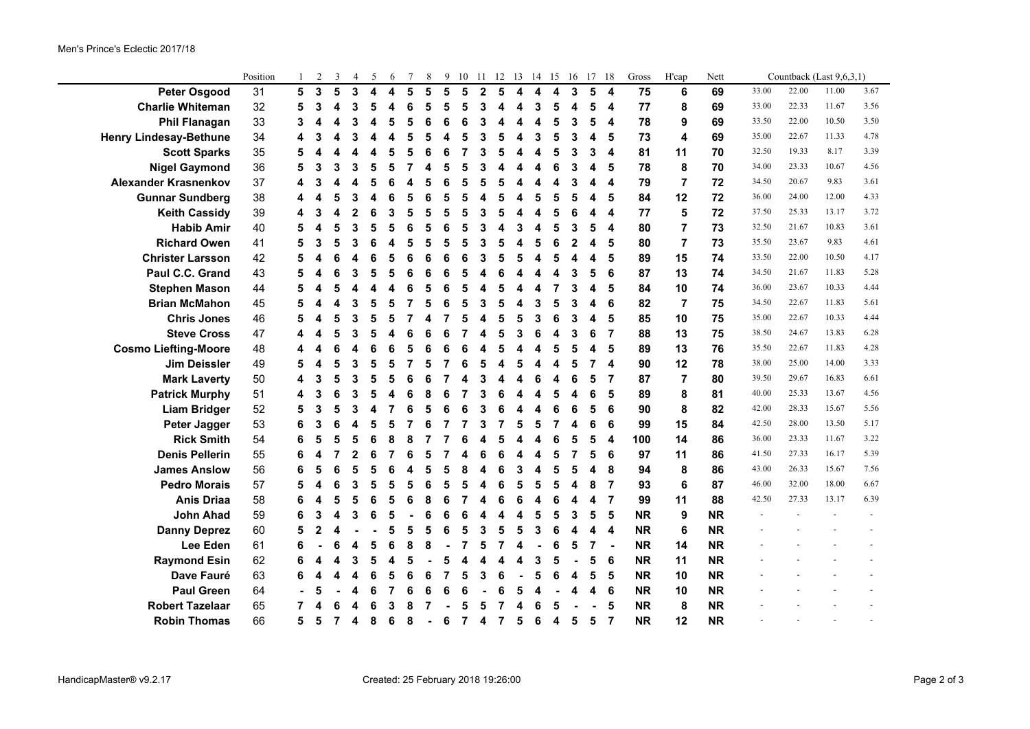|                               | Position |   | $\overline{2}$ | 3              | 4 | 5 | 6 |   | 8 | 9 | 10 |   | 11 12 13 14 15 16 17 |   |   |   |   |                         | 18                      | Gross     | H'cap                   | Nett      |       |       | Countback (Last 9,6,3,1) |      |  |
|-------------------------------|----------|---|----------------|----------------|---|---|---|---|---|---|----|---|----------------------|---|---|---|---|-------------------------|-------------------------|-----------|-------------------------|-----------|-------|-------|--------------------------|------|--|
| <b>Peter Osgood</b>           | 31       | 5 | 3              | 5              | 3 | 4 | 4 | 5 | 5 | 5 | 5  | 2 | 5                    | Δ | Δ | 4 | 3 | 5                       | $\overline{\mathbf{A}}$ | 75        | 6                       | 69        | 33.00 | 22.00 | 11.00                    | 3.67 |  |
| <b>Charlie Whiteman</b>       | 32       | 5 | 3              |                | 3 | 5 | Δ | 6 |   | 5 |    | 3 |                      | 4 | 3 | 5 |   | 5                       | 4                       | 77        | $\pmb{8}$               | 69        | 33.00 | 22.33 | 11.67                    | 3.56 |  |
| <b>Phil Flanagan</b>          | 33       | 3 |                |                |   |   |   |   |   | 6 |    |   |                      |   |   |   | 3 | 5                       | 4                       | 78        | 9                       | 69        | 33.50 | 22.00 | 10.50                    | 3.50 |  |
| <b>Henry Lindesay-Bethune</b> | 34       |   |                |                |   |   |   |   |   |   |    |   |                      | Δ | 3 | 5 | 3 | 4                       | 5                       | 73        | $\overline{\mathbf{4}}$ | 69        | 35.00 | 22.67 | 11.33                    | 4.78 |  |
| <b>Scott Sparks</b>           | 35       | 5 |                |                |   |   |   |   |   | 6 |    |   |                      |   |   |   | 3 | 3                       | $\overline{4}$          | 81        | 11                      | 70        | 32.50 | 19.33 | 8.17                     | 3.39 |  |
| <b>Nigel Gaymond</b>          | 36       | 5 | 3              | 3              |   | 5 | 5 |   |   | 5 |    |   |                      |   |   |   | 3 | 4                       | 5                       | 78        | 8                       | 70        | 34.00 | 23.33 | 10.67                    | 4.56 |  |
| <b>Alexander Krasnenkov</b>   | 37       |   |                |                |   | 5 |   |   |   |   |    |   |                      |   |   |   | 3 | 4                       | $\overline{4}$          | 79        | $\overline{7}$          | 72        | 34.50 | 20.67 | 9.83                     | 3.61 |  |
| <b>Gunnar Sundberg</b>        | 38       |   |                |                |   |   | 6 |   |   | 5 |    |   |                      |   | 5 |   | 5 | 4                       | 5                       | 84        | 12                      | 72        | 36.00 | 24.00 | 12.00                    | 4.33 |  |
| <b>Keith Cassidy</b>          | 39       |   |                |                |   |   | 3 |   |   | 5 |    |   |                      |   |   |   |   | 4                       | $\boldsymbol{4}$        | 77        | $\overline{\mathbf{5}}$ | 72        | 37.50 | 25.33 | 13.17                    | 3.72 |  |
| <b>Habib Amir</b>             | 40       | 5 |                | 5              |   | 5 | 5 |   |   | 6 |    |   |                      | 3 |   |   | 3 | 5                       | 4                       | 80        | $\overline{7}$          | 73        | 32.50 | 21.67 | 10.83                    | 3.61 |  |
| <b>Richard Owen</b>           | 41       | 5 | 3              |                |   |   |   |   |   | 5 |    |   |                      |   |   |   | 2 | 4                       | 5                       | 80        | $\overline{7}$          | 73        | 35.50 | 23.67 | 9.83                     | 4.61 |  |
| <b>Christer Larsson</b>       | 42       |   |                |                |   | 6 | 5 |   |   | 6 |    |   |                      | 5 |   |   |   | 4                       | 5                       | 89        | 15                      | 74        | 33.50 | 22.00 | 10.50                    | 4.17 |  |
| Paul C.C. Grand               | 43       | 5 |                |                |   |   | 5 |   |   | 6 |    |   |                      |   |   |   | 3 | 5                       | 6                       | 87        | 13                      | 74        | 34.50 | 21.67 | 11.83                    | 5.28 |  |
| <b>Stephen Mason</b>          | 44       |   |                |                |   |   |   |   |   | ĥ |    |   |                      |   |   |   | 3 | 4                       | 5                       | 84        | 10                      | 74        | 36.00 | 23.67 | 10.33                    | 4.44 |  |
| <b>Brian McMahon</b>          | 45       |   | 4              |                |   | 5 | 5 |   |   | 6 |    | 3 |                      | Δ | 3 | 5 | 3 | 4                       | 6                       | 82        | $\overline{7}$          | 75        | 34.50 | 22.67 | 11.83                    | 5.61 |  |
| <b>Chris Jones</b>            | 46       | 5 | 4              | 5              |   | 5 | 5 |   |   |   |    |   |                      | 5 | 3 | 6 | 3 | 4                       | 5                       | 85        | 10                      | 75        | 35.00 | 22.67 | 10.33                    | 4.44 |  |
| <b>Steve Cross</b>            | 47       |   | 4              |                |   |   |   |   |   | 6 |    |   |                      | 3 | 6 |   | 3 | 6                       | $\overline{7}$          | 88        | 13                      | 75        | 38.50 | 24.67 | 13.83                    | 6.28 |  |
| <b>Cosmo Liefting-Moore</b>   | 48       |   | 4              | 6              |   |   | 6 |   |   | 6 |    |   |                      | 4 |   | 5 | 5 | 4                       | 5                       | 89        | 13                      | 76        | 35.50 | 22.67 | 11.83                    | 4.28 |  |
| Jim Deissler                  | 49       | 5 | 4              | 5              |   |   |   |   |   |   | 6  |   |                      | 5 |   |   | 5 | $\overline{7}$          | $\overline{4}$          | 90        | 12                      | 78        | 38.00 | 25.00 | 14.00                    | 3.33 |  |
| <b>Mark Laverty</b>           | 50       |   | 3              | 5              | 3 |   | 5 | 6 |   |   |    |   |                      | 4 | 6 | 4 | 6 | 5                       | 7                       | 87        | $\overline{7}$          | 80        | 39.50 | 29.67 | 16.83                    | 6.61 |  |
| <b>Patrick Murphy</b>         | 51       |   | 3              | 6              | 3 |   | Δ | 6 |   | 6 |    |   |                      | Δ |   | 5 | 4 | 6                       | 5                       | 89        | 8                       | 81        | 40.00 | 25.33 | 13.67                    | 4.56 |  |
| <b>Liam Bridger</b>           | 52       | 5 | 3              | 5              | 3 | Δ |   | 6 |   | 6 | 6  | 2 | 6                    | Δ |   | 6 | 6 | 5                       | 6                       | 90        | $\pmb{8}$               | 82        | 42.00 | 28.33 | 15.67                    | 5.56 |  |
| Peter Jagger                  | 53       | 6 | 3              | 6              | Δ | 5 | 5 |   |   |   |    | 3 |                      | 5 | 5 |   | 4 | 6                       | 6                       | 99        | 15                      | 84        | 42.50 | 28.00 | 13.50                    | 5.17 |  |
| <b>Rick Smith</b>             | 54       | 6 | 5              | 5              | 5 | 6 | 8 | 8 |   |   |    |   |                      | Δ |   |   | 5 | 5                       | $\overline{4}$          | 100       | 14                      | 86        | 36.00 | 23.33 | 11.67                    | 3.22 |  |
| <b>Denis Pellerin</b>         | 55       | 6 | 4              |                | 2 | 6 |   |   |   |   |    |   |                      | Δ |   | 5 | 7 | 5                       | 6                       | 97        | 11                      | 86        | 41.50 | 27.33 | 16.17                    | 5.39 |  |
| <b>James Anslow</b>           | 56       | 6 | 5              | 6              | 5 | 5 | 6 |   |   | 5 | я  |   | 6                    | 3 | Δ | 5 | 5 | 4                       | 8                       | 94        | 8                       | 86        | 43.00 | 26.33 | 15.67                    | 7.56 |  |
| <b>Pedro Morais</b>           | 57       | 5 | 4              | 6              | 3 | 5 | 5 | 5 |   | 5 |    |   | 6                    | 5 | 5 | 5 | 4 | 8                       | $\overline{7}$          | 93        | $\bf 6$                 | 87        | 46.00 | 32.00 | 18.00                    | 6.67 |  |
| <b>Anis Driaa</b>             | 58       | 6 | 4              | 5              | 5 | 6 | 5 | 6 |   | 6 | 7  |   | 6                    | 6 | Δ | 6 | 4 | 4                       | $\overline{7}$          | 99        | 11                      | 88        | 42.50 | 27.33 | 13.17                    | 6.39 |  |
| John Ahad                     | 59       | 6 | 3              |                | 3 | 6 | 5 |   |   | 6 |    |   |                      | 4 | 5 | 5 | 3 | 5                       | $5\phantom{1}$          | <b>NR</b> | 9                       | <b>NR</b> |       |       |                          |      |  |
| <b>Danny Deprez</b>           | 60       | 5 | $\mathbf{2}$   |                |   |   |   |   |   | 6 | 5  | 3 | 5                    | 5 | 3 | 6 | 4 | $\overline{\mathbf{4}}$ | $\overline{4}$          | <b>NR</b> | $\bf 6$                 | <b>NR</b> |       |       |                          |      |  |
| Lee Eden                      | 61       | 6 |                |                |   | 5 | 6 | Я |   |   |    |   |                      | Δ |   | 6 | 5 | $\overline{7}$          |                         | <b>NR</b> | 14                      | <b>NR</b> |       |       |                          |      |  |
| <b>Raymond Esin</b>           | 62       | 6 |                |                |   | 5 |   |   |   | 5 |    |   |                      |   | 3 |   |   | 5                       | 6                       | <b>NR</b> | 11                      | <b>NR</b> |       |       |                          |      |  |
| Dave Fauré                    | 63       | 6 |                |                |   |   |   |   |   |   |    |   |                      |   |   |   |   | 5                       | 5                       | <b>NR</b> | 10                      | <b>NR</b> |       |       |                          |      |  |
| <b>Paul Green</b>             | 64       |   |                |                |   | 6 |   |   |   |   |    |   |                      |   |   |   |   | 4                       | 6                       | <b>NR</b> | 10                      | <b>NR</b> |       |       |                          |      |  |
| <b>Robert Tazelaar</b>        | 65       |   |                |                |   |   | 3 |   |   |   |    |   |                      |   |   |   |   |                         | 5                       | <b>NR</b> | $\pmb{8}$               | <b>NR</b> |       |       |                          |      |  |
| <b>Robin Thomas</b>           | 66       | 5 | 5              | $\overline{7}$ | 4 | 8 | 6 | 8 |   | 6 | 7  | 4 | 7                    | 5 | 6 | 4 | 5 | 5                       | $\overline{7}$          | <b>NR</b> | 12                      | <b>NR</b> |       |       |                          |      |  |